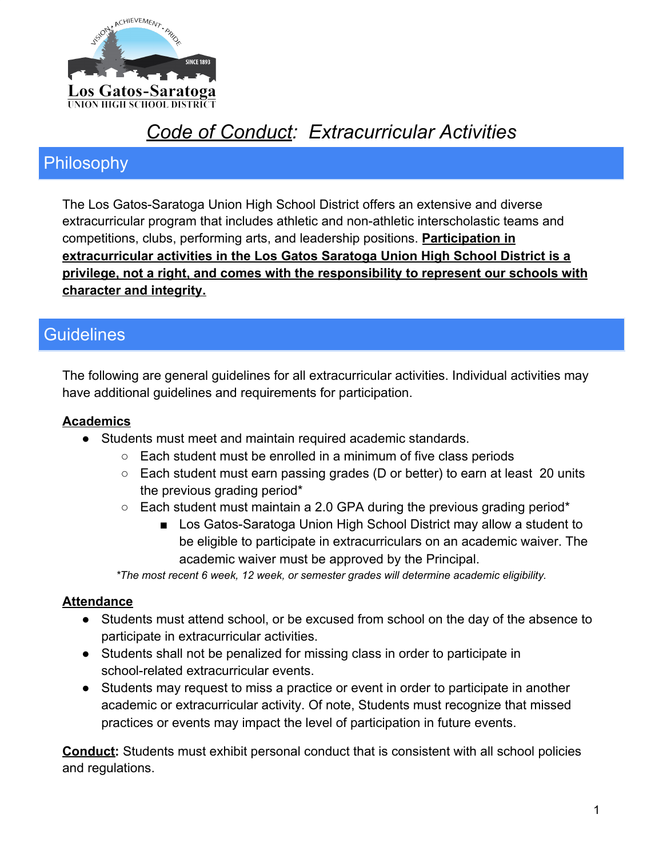

# *Code of Conduct: Extracurricular Activities*

# Philosophy

The Los Gatos-Saratoga Union High School District offers an extensive and diverse extracurricular program that includes athletic and non-athletic interscholastic teams and competitions, clubs, performing arts, and leadership positions. **Participation in extracurricular activities in the Los Gatos Saratoga Union High School District is a privilege, not a right, and comes with the responsibility to represent our schools with character and integrity.**

# **Guidelines**

The following are general guidelines for all extracurricular activities. Individual activities may have additional guidelines and requirements for participation.

## **Academics**

- Students must meet and maintain required academic standards.
	- Each student must be enrolled in a minimum of five class periods
	- Each student must earn passing grades (D or better) to earn at least 20 units the previous grading period\*
	- $\circ$  Each student must maintain a 2.0 GPA during the previous grading period\*
		- Los Gatos-Saratoga Union High School District may allow a student to be eligible to participate in extracurriculars on an academic waiver. The academic waiver must be approved by the Principal.

*\*The most recent 6 week, 12 week, or semester grades will determine academic eligibility.*

### **Attendance**

- Students must attend school, or be excused from school on the day of the absence to participate in extracurricular activities.
- Students shall not be penalized for missing class in order to participate in school-related extracurricular events.
- Students may request to miss a practice or event in order to participate in another academic or extracurricular activity. Of note, Students must recognize that missed practices or events may impact the level of participation in future events.

**Conduct:** Students must exhibit personal conduct that is consistent with all school policies and regulations.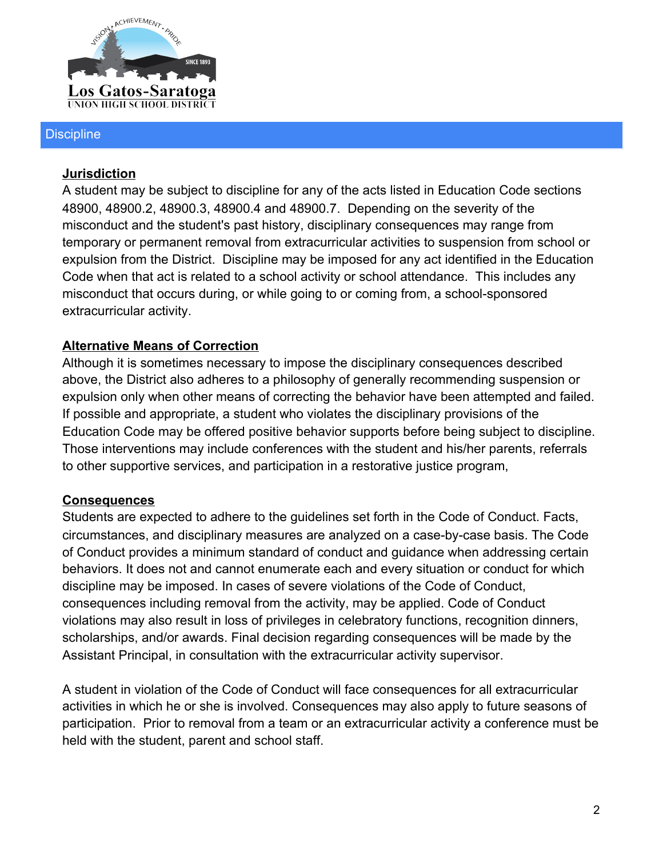

#### **Discipline**

#### **Jurisdiction**

A student may be subject to discipline for any of the acts listed in Education Code sections 48900, 48900.2, 48900.3, 48900.4 and 48900.7. Depending on the severity of the misconduct and the student's past history, disciplinary consequences may range from temporary or permanent removal from extracurricular activities to suspension from school or expulsion from the District. Discipline may be imposed for any act identified in the Education Code when that act is related to a school activity or school attendance. This includes any misconduct that occurs during, or while going to or coming from, a school-sponsored extracurricular activity.

### **Alternative Means of Correction**

Although it is sometimes necessary to impose the disciplinary consequences described above, the District also adheres to a philosophy of generally recommending suspension or expulsion only when other means of correcting the behavior have been attempted and failed. If possible and appropriate, a student who violates the disciplinary provisions of the Education Code may be offered positive behavior supports before being subject to discipline. Those interventions may include conferences with the student and his/her parents, referrals to other supportive services, and participation in a restorative justice program,

### **Consequences**

Students are expected to adhere to the guidelines set forth in the Code of Conduct. Facts, circumstances, and disciplinary measures are analyzed on a case-by-case basis. The Code of Conduct provides a minimum standard of conduct and guidance when addressing certain behaviors. It does not and cannot enumerate each and every situation or conduct for which discipline may be imposed. In cases of severe violations of the Code of Conduct, consequences including removal from the activity, may be applied. Code of Conduct violations may also result in loss of privileges in celebratory functions, recognition dinners, scholarships, and/or awards. Final decision regarding consequences will be made by the Assistant Principal, in consultation with the extracurricular activity supervisor.

A student in violation of the Code of Conduct will face consequences for all extracurricular activities in which he or she is involved. Consequences may also apply to future seasons of participation. Prior to removal from a team or an extracurricular activity a conference must be held with the student, parent and school staff.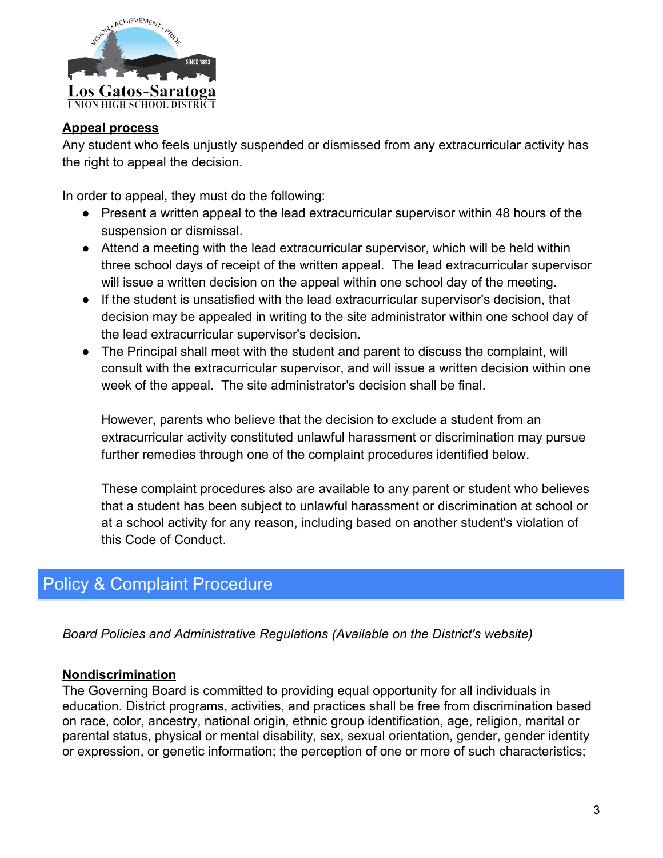

#### **Appeal process**

Any student who feels unjustly suspended or dismissed from any extracurricular activity has the right to appeal the decision*.*

In order to appeal, they must do the following:

- Present a written appeal to the lead extracurricular supervisor within 48 hours of the suspension or dismissal.
- Attend a meeting with the lead extracurricular supervisor, which will be held within three school days of receipt of the written appeal. The lead extracurricular supervisor will issue a written decision on the appeal within one school day of the meeting.
- If the student is unsatisfied with the lead extracurricular supervisor's decision, that decision may be appealed in writing to the site administrator within one school day of the lead extracurricular supervisor's decision.
- The Principal shall meet with the student and parent to discuss the complaint, will consult with the extracurricular supervisor, and will issue a written decision within one week of the appeal. The site administrator's decision shall be final.

However, parents who believe that the decision to exclude a student from an extracurricular activity constituted unlawful harassment or discrimination may pursue further remedies through one of the complaint procedures identified below.

These complaint procedures also are available to any parent or student who believes that a student has been subject to unlawful harassment or discrimination at school or at a school activity for any reason, including based on another student's violation of this Code of Conduct.

# Policy & Complaint Procedure

*Board Policies and Administrative Regulations (Available on the District's website)*

### **Nondiscrimination**

The Governing Board is committed to providing equal opportunity for all individuals in education. District programs, activities, and practices shall be free from discrimination based on race, color, ancestry, national origin, ethnic group identification, age, religion, marital or parental status, physical or mental disability, sex, sexual orientation, gender, gender identity or expression, or genetic information; the perception of one or more of such characteristics;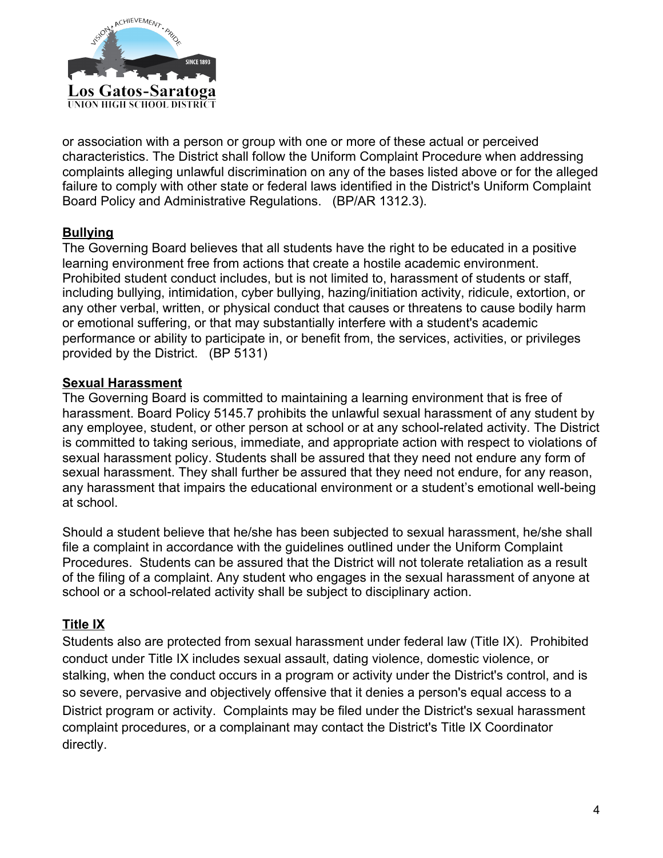

or association with a person or group with one or more of these actual or perceived characteristics. The District shall follow the Uniform Complaint Procedure when addressing complaints alleging unlawful discrimination on any of the bases listed above or for the alleged failure to comply with other state or federal laws identified in the District's Uniform Complaint Board Policy and Administrative Regulations. (BP/AR 1312.3).

### **Bullying**

The Governing Board believes that all students have the right to be educated in a positive learning environment free from actions that create a hostile academic environment. Prohibited student conduct includes, but is not limited to, harassment of students or staff, including bullying, intimidation, cyber bullying, hazing/initiation activity, ridicule, extortion, or any other verbal, written, or physical conduct that causes or threatens to cause bodily harm or emotional suffering, or that may substantially interfere with a student's academic performance or ability to participate in, or benefit from, the services, activities, or privileges provided by the District. (BP 5131)

### **Sexual Harassment**

The Governing Board is committed to maintaining a learning environment that is free of harassment. Board Policy 5145.7 prohibits the unlawful sexual harassment of any student by any employee, student, or other person at school or at any school-related activity. The District is committed to taking serious, immediate, and appropriate action with respect to violations of sexual harassment policy. Students shall be assured that they need not endure any form of sexual harassment. They shall further be assured that they need not endure, for any reason, any harassment that impairs the educational environment or a student's emotional well-being at school.

Should a student believe that he/she has been subjected to sexual harassment, he/she shall file a complaint in accordance with the guidelines outlined under the Uniform Complaint Procedures. Students can be assured that the District will not tolerate retaliation as a result of the filing of a complaint. Any student who engages in the sexual harassment of anyone at school or a school-related activity shall be subject to disciplinary action.

### **Title IX**

Students also are protected from sexual harassment under federal law (Title IX). Prohibited conduct under Title IX includes sexual assault, dating violence, domestic violence, or stalking, when the conduct occurs in a program or activity under the District's control, and is so severe, pervasive and objectively offensive that it denies a person's equal access to a District program or activity. Complaints may be filed under the District's sexual harassment complaint procedures, or a complainant may contact the District's Title IX Coordinator directly.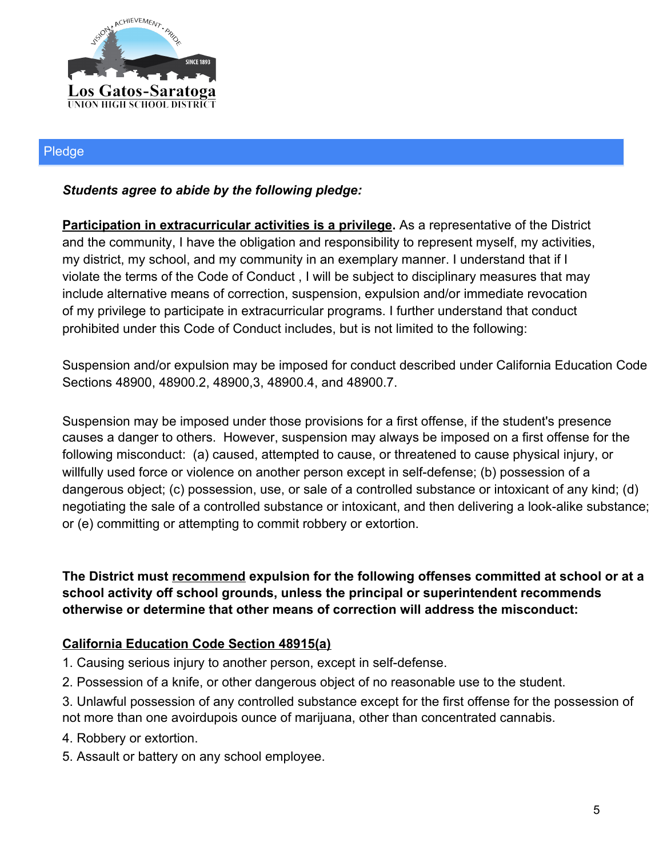

#### Pledge

### *Students agree to abide by the following pledge:*

**Participation in extracurricular activities is a privilege.** As a representative of the District and the community, I have the obligation and responsibility to represent myself, my activities, my district, my school, and my community in an exemplary manner. I understand that if I violate the terms of the Code of Conduct , I will be subject to disciplinary measures that may include alternative means of correction, suspension, expulsion and/or immediate revocation of my privilege to participate in extracurricular programs. I further understand that conduct prohibited under this Code of Conduct includes, but is not limited to the following:

Suspension and/or expulsion may be imposed for conduct described under California Education Code Sections 48900, 48900.2, 48900,3, 48900.4, and 48900.7.

Suspension may be imposed under those provisions for a first offense, if the student's presence causes a danger to others. However, suspension may always be imposed on a first offense for the following misconduct: (a) caused, attempted to cause, or threatened to cause physical injury, or willfully used force or violence on another person except in self-defense; (b) possession of a dangerous object; (c) possession, use, or sale of a controlled substance or intoxicant of any kind; (d) negotiating the sale of a controlled substance or intoxicant, and then delivering a look-alike substance; or (e) committing or attempting to commit robbery or extortion.

**The District must recommend expulsion for the following offenses committed at school or at a school activity off school grounds, unless the principal or superintendent recommends otherwise or determine that other means of correction will address the misconduct:**

### **California Education Code Section 48915(a)**

- 1. Causing serious injury to another person, except in self-defense.
- 2. Possession of a knife, or other dangerous object of no reasonable use to the student.
- 3. Unlawful possession of any controlled substance except for the first offense for the possession of not more than one avoirdupois ounce of marijuana, other than concentrated cannabis.
- 4. Robbery or extortion.
- 5. Assault or battery on any school employee.